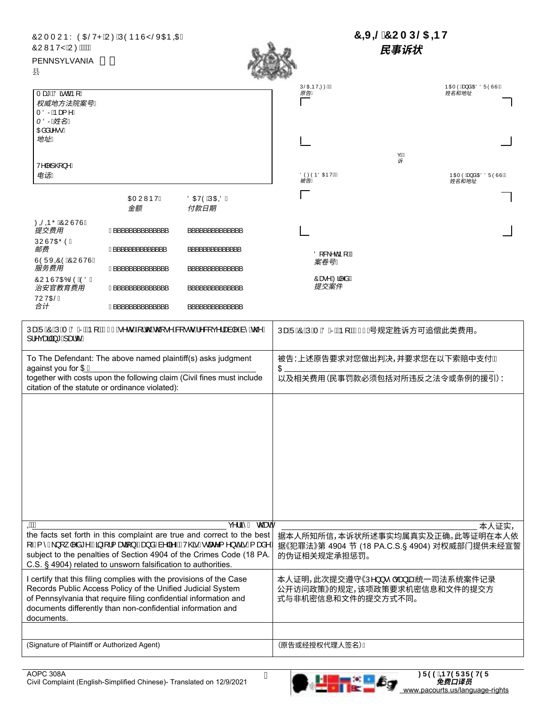## ÔUTTUÞYÒ CÉNPÁU Ø ÁÚ Ó ÞÞÚ ŸŠXO E ODEÁ ÔUWÞVŸÁUØÁÁÁÁÁ

## **&,9,/&203/\$,17 民事诉状**

PENNSYLVANIA

合计



BBBBBBBBBBBBBB BBBBBBBBBBBBBB BBBBBBBBBBBBBB BBBBBBBBBBBBBB

| 县                                                 |                                                     |                    |                       |                   |         |                                               |
|---------------------------------------------------|-----------------------------------------------------|--------------------|-----------------------|-------------------|---------|-----------------------------------------------|
| Tæt BÖãdBo[K<br>权威地方法院案号K<br>TÖRÁÞæ{^K<br>TÖRN生名K |                                                     |                    | ÚŠOED VODIZKÁÁ<br>原告K |                   |         | <b>ÞŒT ÒÁ A A A A A SOU Ò LU Á A</b><br>姓名和地址 |
| 0āå¦^••K<br>地址K                                   |                                                     |                    |                       |                   | ç逆<br>诉 |                                               |
| V^ ^] @}^K<br>电话K                                 |                                                     |                    | 被告K                   | ÖÒØÒÞÖŒDVKÁÁ      |         | <b>ÞŒT ÒÁ A A A A A SÚ Ó LU Á A</b><br>姓名和地址  |
|                                                   | OET UWPVÁ<br>金额                                     | ÖŒUÒÁÚŒŒÖÁ<br>付款日期 |                       |                   |         |                                               |
| ØSÍG Ő ÁÔU ÙVÙÁ<br>提交费用                           | Å <sup>*</sup> *************                        | .                  |                       |                   |         |                                               |
| ÚUÙVŒĎÒÁ<br>邮费                                    |                                                     | <i>.</i>           |                       | Ö[&\^c4p[k4A      |         |                                               |
| <b>ÙÒÜX@ÒÁÔUÙVÙÁ</b><br>服务费用                      | Å<br>.                                              | <i>.</i>           |                       | 案卷号K              |         |                                               |
| ÔUÞÙVŒÓŠÒÁÒÖÁ<br>治安官教育费用<br>VUVŒŠÁ                | $\mathring{\mathsf{A}}$ , , , , , , , , , , , , , , | <i>.</i>           |                       | Ôæ^ÁØãMåÄ<br>提交案件 |         |                                               |

| ÚæËUÉÓÉÚÈTÉÖÉRÉÁÞ[ÉÆGEÎÁ^o^Á{¦œÁq@}•^Á&{•orÁ^&{ç^¦æà ^Ás^Ác@Á<br>]¦^çæaăã,*Álæ√c°È                                                   | ÚæËÜÉÒÈÚÈTÈÖÉHÀÈN LÄGYÉÎ Æ号规定胜诉方可追偿此类费用。                                                                                                                          |
|--------------------------------------------------------------------------------------------------------------------------------------|-------------------------------------------------------------------------------------------------------------------------------------------------------------------|
| To The Defendant: The above named plaintiff(s) asks judgment<br>against you for \$A                                                  | 被告:上述原告要求对您做出判决,并要求您在以下索赔中支付从<br>\$                                                                                                                               |
| together with costs upon the following claim (Civil fines must include<br>citation of the statute or ordinance violated):            | 以及相关费用(民事罚款必须包括对所违反之法令或条例的援引):                                                                                                                                    |
|                                                                                                                                      |                                                                                                                                                                   |
|                                                                                                                                      |                                                                                                                                                                   |
|                                                                                                                                      |                                                                                                                                                                   |
|                                                                                                                                      |                                                                                                                                                                   |
|                                                                                                                                      |                                                                                                                                                                   |
|                                                                                                                                      |                                                                                                                                                                   |
|                                                                                                                                      |                                                                                                                                                                   |
| ŒӜ<br>c^¦ã-̂A co?æeA<br>the facts set forth in this complaint are true and correct to the best                                       | 本人证实,                                                                                                                                                             |
|                                                                                                                                      | 据本人所知所信,本诉状所述事实均属真实及正确。此等证明在本人依<br>[ -A( ^A } [ ,  ^å* ^B\$] -{  { æqã } B&e} åAà^ a͡^-BAV@s Á∙œæ^{ ^} d^es Á{ æå^Å 据《犯罪法》第 4904 节 (18 PA.C.S.§ 4904) 对权威部门提供未经宣誓 |
| subject to the penalties of Section 4904 of the Crimes Code (18 PA.<br>C.S. § 4904) related to unsworn falsification to authorities. | 的伪证相关规定承担惩罚。                                                                                                                                                      |
| I certify that this filing complies with the provisions of the Case                                                                  | 本人证明,此次提交遵守《Ú^}}•^ ça <del>}</del> 海统一司法系统案件记录                                                                                                                    |
| Records Public Access Policy of the Unified Judicial System<br>of Pennsylvania that require filing confidential information and      | 公开访问政策》的规定,该项政策要求机密信息和文件的提交方<br>式与非机密信息和文件的提交方式不同。                                                                                                                |
| documents differently than non-confidential information and<br>documents.                                                            |                                                                                                                                                                   |
|                                                                                                                                      |                                                                                                                                                                   |
| (Signature of Plaintiff or Authorized Agent)                                                                                         | (原告或经授权代理人签名)Á                                                                                                                                                    |